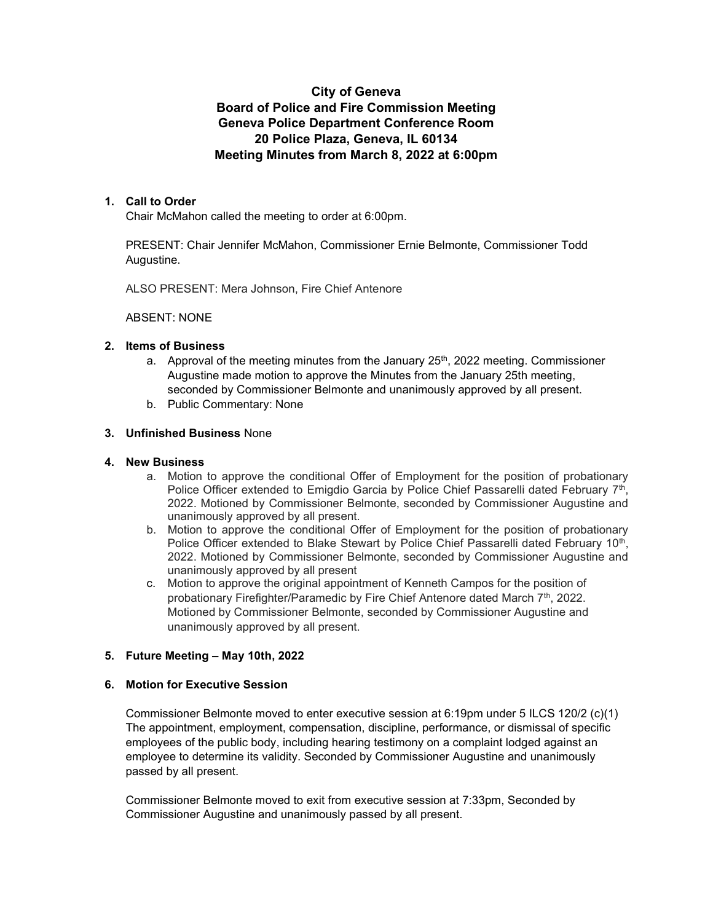# City of Geneva Board of Police and Fire Commission Meeting Geneva Police Department Conference Room 20 Police Plaza, Geneva, IL 60134 Meeting Minutes from March 8, 2022 at 6:00pm

## 1. Call to Order

Chair McMahon called the meeting to order at 6:00pm.

PRESENT: Chair Jennifer McMahon, Commissioner Ernie Belmonte, Commissioner Todd Augustine.

ALSO PRESENT: Mera Johnson, Fire Chief Antenore

#### ABSENT: NONE

### 2. Items of Business

- a. Approval of the meeting minutes from the January  $25<sup>th</sup>$ , 2022 meeting. Commissioner Augustine made motion to approve the Minutes from the January 25th meeting, seconded by Commissioner Belmonte and unanimously approved by all present.
- b. Public Commentary: None

#### 3. Unfinished Business None

#### 4. New Business

- a. Motion to approve the conditional Offer of Employment for the position of probationary Police Officer extended to Emigdio Garcia by Police Chief Passarelli dated February 7<sup>th</sup>, 2022. Motioned by Commissioner Belmonte, seconded by Commissioner Augustine and unanimously approved by all present.
- b. Motion to approve the conditional Offer of Employment for the position of probationary Police Officer extended to Blake Stewart by Police Chief Passarelli dated February 10<sup>th</sup>, 2022. Motioned by Commissioner Belmonte, seconded by Commissioner Augustine and unanimously approved by all present
- c. Motion to approve the original appointment of Kenneth Campos for the position of probationary Firefighter/Paramedic by Fire Chief Antenore dated March 7th, 2022. Motioned by Commissioner Belmonte, seconded by Commissioner Augustine and unanimously approved by all present.

## 5. Future Meeting – May 10th, 2022

#### 6. Motion for Executive Session

Commissioner Belmonte moved to enter executive session at 6:19pm under 5 ILCS 120/2 (c)(1) The appointment, employment, compensation, discipline, performance, or dismissal of specific employees of the public body, including hearing testimony on a complaint lodged against an employee to determine its validity. Seconded by Commissioner Augustine and unanimously passed by all present.

Commissioner Belmonte moved to exit from executive session at 7:33pm, Seconded by Commissioner Augustine and unanimously passed by all present.